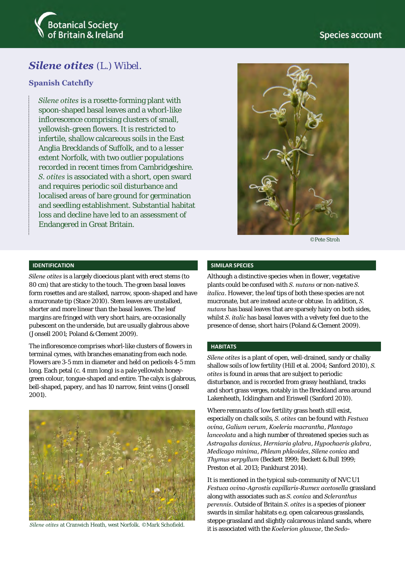

# **Species account**

# *Silene otites* (L.) Wibel.

### **Spanish Catchfly**

*Silene otites* is a rosette-forming plant with spoon-shaped basal leaves and a whorl-like inflorescence comprising clusters of small, yellowish-green flowers. It is restricted to infertile, shallow calcareous soils in the East Anglia Brecklands of Suffolk, and to a lesser extent Norfolk, with two outlier populations recorded in recent times from Cambridgeshire. *S. otites* is associated with a short, open sward and requires periodic soil disturbance and localised areas of bare ground for germination and seedling establishment. Substantial habitat loss and decline have led to an assessment of Endangered in Great Britain.



©Pete Stroh

#### **IDENTIFICATION**

*Silene otites* is a largely dioecious plant with erect stems (to 80 cm) that are sticky to the touch. The green basal leaves form rosettes and are stalked, narrow, spoon-shaped and have a mucronate tip (Stace 2010). Stem leaves are unstalked, shorter and more linear than the basal leaves. The leaf margins are fringed with very short hairs, are occasionally pubescent on the underside, but are usually glabrous above (Jonsell 2001; Poland & Clement 2009).

The inflorescence comprises whorl-like clusters of flowers in terminal cymes, with branches emanating from each node. Flowers are 3-5 mm in diameter and held on pedicels 4-5 mm long. Each petal (c. 4 mm long) is a pale yellowish honeygreen colour, tongue-shaped and entire. The calyx is glabrous, bell-shaped, papery, and has 10 narrow, feint veins (Jonsell 2001).



#### **SIMILAR SPECIES**

Although a distinctive species when in flower, vegetative plants could be confused with *S. nutans* or non-native *S.*  italica. However, the leaf tips of both these species are not mucronate, but are instead acute or obtuse. In addition, *S. nutans* has basal leaves that are sparsely hairy on both sides, whilst *S. italic* has basal leaves with a velvety feel due to the presence of dense, short hairs (Poland & Clement 2009).

#### **HABITATS**

*Silene otites* is a plant of open, well-drained, sandy or chalky shallow soils of low fertility (Hill et al. 2004; Sanford 2010), *S. otites* is found in areas that are subject to periodic disturbance, and is recorded from grassy heathland, tracks and short grass verges, notably in the Breckland area around Lakenheath, Icklingham and Eriswell (Sanford 2010).

Where remnants of low fertility grass heath still exist, especially on chalk soils, *S. otites* can be found with *Festuca ovina*, *Galium verum*, *Koeleria macrantha*, *Plantago lanceolata* and a high number of threatened species such as *Astragalus danicus*, *Herniaria glabra*, *Hypochaeris glabra*, *Medicago minima*, *Phleum phleoides*, *Silene conica* and *Thymus serpyllum* (Beckett 1999; Beckett & Bull 1999; Preston et al. 2013; Pankhurst 2014).

It is mentioned in the typical sub-community of NVC U1 *Festuca ovina*-*Agrostis capillaris*-*Rumex acetosella* grassland along with associates such as *S. conica* and *Scleranthus perennis*. Outside of Britain *S. otites* is a species of pioneer swards in similar habitats e.g. open calcareous grasslands, steppe grassland and slightly calcareous inland sands, where it is associated with the *Koelerion glaucae*, the *Sedo- Silene otites* at Cranwich Heath, west Norfolk. ©Mark Schofield.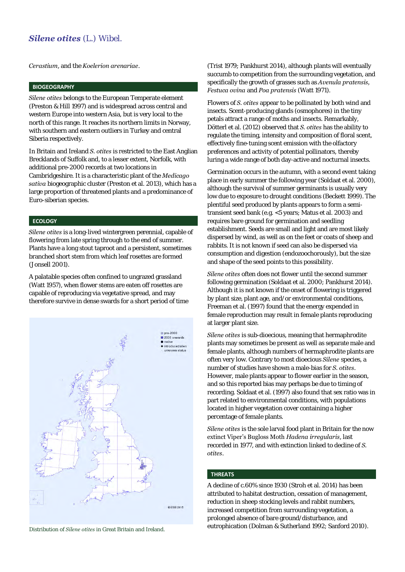# *Silene otites* (L.) Wibel.

*Cerastium*, and the *Koelerion arenariae*.

### **BIOGEOGRAPHY**

*Silene otites* belongs to the European Temperate element (Preston & Hill 1997) and is widespread across central and western Europe into western Asia, but is very local to the north of this range. It reaches its northern limits in Norway, with southern and eastern outliers in Turkey and central Siberia respectively.

In Britain and Ireland *S. otites* is restricted to the East Anglian Brecklands of Suffolk and, to a lesser extent, Norfolk, with additional pre-2000 records at two locations in Cambridgeshire. It is a characteristic plant of the *Medicago sativa* biogeographic cluster (Preston et al. 2013), which has a large proportion of threatened plants and a predominance of Euro-siberian species.

#### **ECOLOGY**

*Silene otites* is a long-lived wintergreen perennial, capable of flowering from late spring through to the end of summer. Plants have a long stout taproot and a persistent, sometimes branched short stem from which leaf rosettes are formed (Jonsell 2001).

A palatable species often confined to ungrazed grassland (Watt 1957), when flower stems are eaten off rosettes are capable of reproducing via vegetative spread, and may therefore survive in dense swards for a short period of time



(Trist 1979; Pankhurst 2014), although plants will eventually succumb to competition from the surrounding vegetation, and specifically the growth of grasses such as *Avenula pratensis, Festuca ovina* and *Poa pratensis* (Watt 1971).

Flowers of *S. otites* appear to be pollinated by both wind and insects. Scent-producing glands (osmophores) in the tiny petals attract a range of moths and insects. Remarkably, Dötterl et al. (2012) observed that *S. otites* has the ability to regulate the timing, intensity and composition of floral scent, effectively fine-tuning scent emission with the olfactory preferences and activity of potential pollinators, thereby luring a wide range of both day-active and nocturnal insects.

Germination occurs in the autumn, with a second event taking place in early summer the following year (Soldaat et al. 2000), although the survival of summer germinants is usually very low due to exposure to drought conditions (Beckett 1999). The plentiful seed produced by plants appears to form a semitransient seed bank (e.g. <5 years; Matus et al. 2003) and requires bare ground for germination and seedling establishment. Seeds are small and light and are most likely dispersed by wind, as well as on the feet or coats of sheep and rabbits. It is not known if seed can also be dispersed via consumption and digestion (endozoochorously), but the size and shape of the seed points to this possibility.

*Silene otites* often does not flower until the second summer following germination (Soldaat et al. 2000; Pankhurst 2014). Although it is not known if the onset of flowering is triggered by plant size, plant age, and/or environmental conditions, Freeman et al. (1997) found that the energy expended in female reproduction may result in female plants reproducing at larger plant size.

*Silene otites* is sub-dioecious, meaning that hermaphrodite plants may sometimes be present as well as separate male and female plants, although numbers of hermaphrodite plants are often very low. Contrary to most dioecious *Silene* species, a number of studies have shown a male-bias for *S. otites*. However, male plants appear to flower earlier in the season, and so this reported bias may perhaps be due to timing of recording. Soldaat et al. (1997) also found that sex ratio was in part related to environmental conditions, with populations located in higher vegetation cover containing a higher percentage of female plants.

*Silene otites* is the sole larval food plant in Britain for the now extinct Viper's Bugloss Moth *Hadena irregularis*, last recorded in 1977, and with extinction linked to decline of *S. otites*.

### **THREATS**

A decline of c.60% since 1930 (Stroh et al. 2014) has been attributed to habitat destruction, cessation of management, reduction in sheep stocking levels and rabbit numbers, increased competition from surrounding vegetation, a prolonged absence of bare ground/disturbance, and eutrophication (Dolman & Sutherland 1992; Sanford 2010). Distribution of *Silene otites* in Great Britain and Ireland.